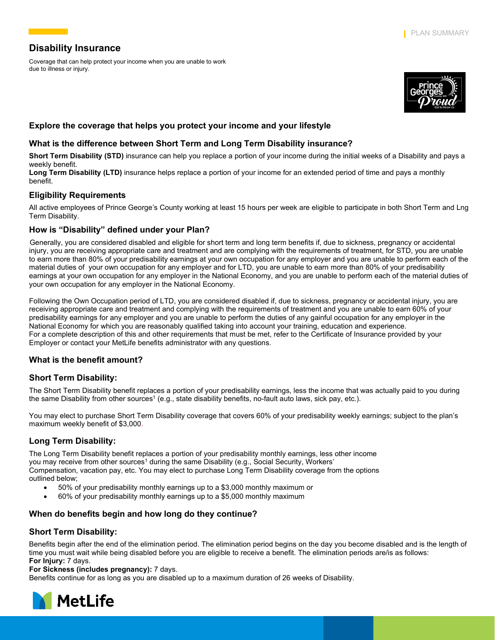# **Disability Insurance**

Coverage that can help protect your income when you are unable to work due to illness or injury.



# **Explore the coverage that helps you protect your income and your lifestyle**

# **What is the difference between Short Term and Long Term Disability insurance?**

**Short Term Disability (STD)** insurance can help you replace a portion of your income during the initial weeks of a Disability and pays a weekly benefit.

Long Term Disability (LTD) insurance helps replace a portion of your income for an extended period of time and pays a monthly benefit.

# **Eligibility Requirements**

All active employees of Prince George's County working at least 15 hours per week are eligible to participate in both Short Term and Lng Term Disability.

### **How is "Disability" defined under your Plan?**

Generally, you are considered disabled and eligible for short term and long term benefits if, due to sickness, pregnancy or accidental injury, you are receiving appropriate care and treatment and are complying with the requirements of treatment, for STD, you are unable to earn more than 80% of your predisability earnings at your own occupation for any employer and you are unable to perform each of the material duties of your own occupation for any employer and for LTD, you are unable to earn more than 80% of your predisability earnings at your own occupation for any employer in the National Economy, and you are unable to perform each of the material duties of your own occupation for any employer in the National Economy.

Following the Own Occupation period of LTD, you are considered disabled if, due to sickness, pregnancy or accidental injury, you are receiving appropriate care and treatment and complying with the requirements of treatment and you are unable to earn 60% of your predisability earnings for any employer and you are unable to perform the duties of any gainful occupation for any employer in the National Economy for which you are reasonably qualified taking into account your training, education and experience. For a complete description of this and other requirements that must be met, refer to the Certificate of Insurance provided by your Employer or contact your MetLife benefits administrator with any questions.

# **What is the benefit amount?**

# **Short Term Disability:**

The Short Term Disability benefit replaces a portion of your predisability earnings, less the income that was actually paid to you during the same Disability from other sources<sup>1</sup> (e.g., state disability benefits, no-fault auto laws, sick pay, etc.).

You may elect to purchase Short Term Disability coverage that covers 60% of your predisability weekly earnings; subject to the plan's maximum weekly benefit of \$3,000.

# **Long Term Disability:**

The Long Term Disability benefit replaces a portion of your predisability monthly earnings, less other income you may receive from other sources<sup>1</sup> during the same Disability (e.g., Social Security, Workers' Compensation, vacation pay, etc. You may elect to purchase Long Term Disability coverage from the options outlined below;

- 50% of your predisability monthly earnings up to a \$3,000 monthly maximum or
- 60% of your predisability monthly earnings up to a \$5,000 monthly maximum

# **When do benefits begin and how long do they continue?**

# **Short Term Disability:**

Benefits begin after the end of the elimination period. The elimination period begins on the day you become disabled and is the length of time you must wait while being disabled before you are eligible to receive a benefit. The elimination periods are/is as follows: **For Injury:** 7 days.

#### **For Sickness (includes pregnancy):** 7 days.

Benefits continue for as long as you are disabled up to a maximum duration of 26 weeks of Disability.

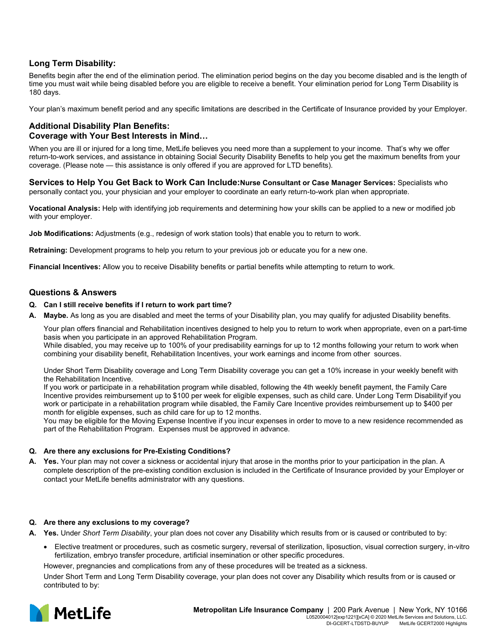# **Long Term Disability:**

Benefits begin after the end of the elimination period. The elimination period begins on the day you become disabled and is the length of time you must wait while being disabled before you are eligible to receive a benefit. Your elimination period for Long Term Disability is 180 days.

Your plan's maximum benefit period and any specific limitations are described in the Certificate of Insurance provided by your Employer.

### **Additional Disability Plan Benefits: Coverage with Your Best Interests in Mind…**

When you are ill or injured for a long time, MetLife believes you need more than a supplement to your income. That's why we offer return-to-work services, and assistance in obtaining Social Security Disability Benefits to help you get the maximum benefits from your coverage. (Please note — this assistance is only offered if you are approved for LTD benefits).

**Services to Help You Get Back to Work Can Include:Nurse Consultant or Case Manager Services:** Specialists who personally contact you, your physician and your employer to coordinate an early return-to-work plan when appropriate.

**Vocational Analysis:** Help with identifying job requirements and determining how your skills can be applied to a new or modified job with your employer.

**Job Modifications:** Adjustments (e.g., redesign of work station tools) that enable you to return to work.

**Retraining:** Development programs to help you return to your previous job or educate you for a new one.

**Financial Incentives:** Allow you to receive Disability benefits or partial benefits while attempting to return to work.

### **Questions & Answers**

#### **Q. Can I still receive benefits if I return to work part time?**

**A. Maybe.** As long as you are disabled and meet the terms of your Disability plan, you may qualify for adjusted Disability benefits.

Your plan offers financial and Rehabilitation incentives designed to help you to return to work when appropriate, even on a part-time basis when you participate in an approved Rehabilitation Program.

While disabled, you may receive up to 100% of your predisability earnings for up to 12 months following your return to work when combining your disability benefit, Rehabilitation Incentives, your work earnings and income from other sources.

Under Short Term Disability coverage and Long Term Disability coverage you can get a 10% increase in your weekly benefit with the Rehabilitation Incentive.

If you work or participate in a rehabilitation program while disabled, following the 4th weekly benefit payment, the Family Care Incentive provides reimbursement up to \$100 per week for eligible expenses, such as child care. Under Long Term Disabilityif you work or participate in a rehabilitation program while disabled, the Family Care Incentive provides reimbursement up to \$400 per month for eligible expenses, such as child care for up to 12 months.

You may be eligible for the Moving Expense Incentive if you incur expenses in order to move to a new residence recommended as part of the Rehabilitation Program. Expenses must be approved in advance.

#### **Q. Are there any exclusions for Pre-Existing Conditions?**

**A. Yes.** Your plan may not cover a sickness or accidental injury that arose in the months prior to your participation in the plan. A complete description of the pre-existing condition exclusion is included in the Certificate of Insurance provided by your Employer or contact your MetLife benefits administrator with any questions.

#### **Q. Are there any exclusions to my coverage?**

**A. Yes.** Under *Short Term Disability*, your plan does not cover any Disability which results from or is caused or contributed to by:

• Elective treatment or procedures, such as cosmetic surgery, reversal of sterilization, liposuction, visual correction surgery, in-vitro fertilization, embryo transfer procedure, artificial insemination or other specific procedures.

However, pregnancies and complications from any of these procedures will be treated as a sickness.

Under Short Term and Long Term Disability coverage, your plan does not cover any Disability which results from or is caused or contributed to by:

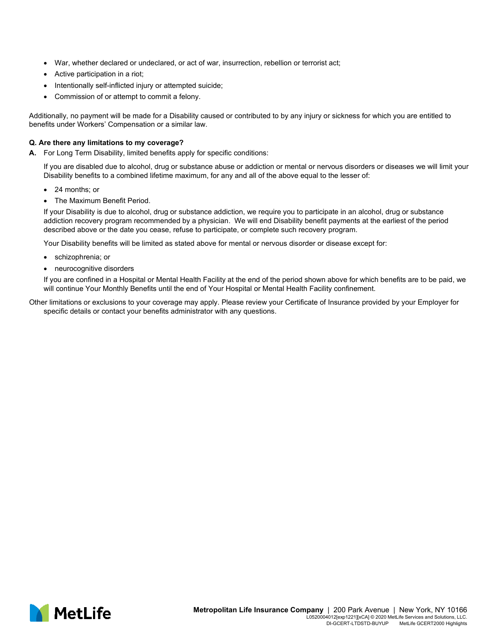- War, whether declared or undeclared, or act of war, insurrection, rebellion or terrorist act;
- Active participation in a riot;
- Intentionally self-inflicted injury or attempted suicide;
- Commission of or attempt to commit a felony.

Additionally, no payment will be made for a Disability caused or contributed to by any injury or sickness for which you are entitled to benefits under Workers' Compensation or a similar law.

### **Q. Are there any limitations to my coverage?**

**A.** For Long Term Disability, limited benefits apply for specific conditions:

If you are disabled due to alcohol, drug or substance abuse or addiction or mental or nervous disorders or diseases we will limit your Disability benefits to a combined lifetime maximum, for any and all of the above equal to the lesser of:

- 24 months; or
- The Maximum Benefit Period.

If your Disability is due to alcohol, drug or substance addiction, we require you to participate in an alcohol, drug or substance addiction recovery program recommended by a physician. We will end Disability benefit payments at the earliest of the period described above or the date you cease, refuse to participate, or complete such recovery program.

Your Disability benefits will be limited as stated above for mental or nervous disorder or disease except for:

- schizophrenia; or
- neurocognitive disorders

If you are confined in a Hospital or Mental Health Facility at the end of the period shown above for which benefits are to be paid, we will continue Your Monthly Benefits until the end of Your Hospital or Mental Health Facility confinement.

Other limitations or exclusions to your coverage may apply. Please review your Certificate of Insurance provided by your Employer for specific details or contact your benefits administrator with any questions.

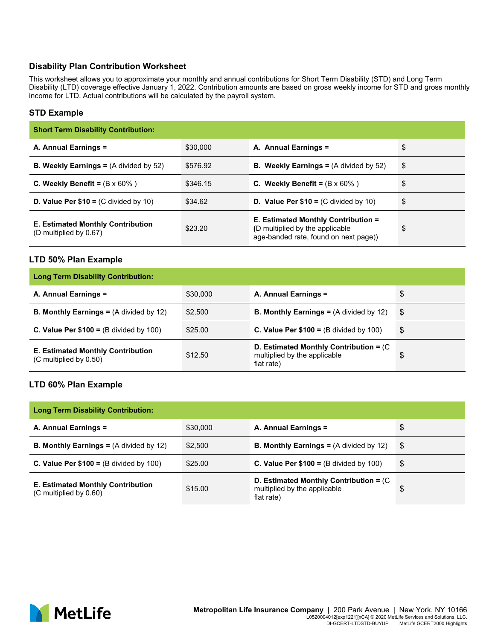# **Disability Plan Contribution Worksheet**

This worksheet allows you to approximate your monthly and annual contributions for Short Term Disability (STD) and Long Term Disability (LTD) coverage effective January 1, 2022. Contribution amounts are based on gross weekly income for STD and gross monthly income for LTD. Actual contributions will be calculated by the payroll system.

# **STD Example**

| <b>Short Term Disability Contribution:</b>                              |          |                                                                                                                 |    |  |  |
|-------------------------------------------------------------------------|----------|-----------------------------------------------------------------------------------------------------------------|----|--|--|
| A. Annual Earnings =                                                    | \$30,000 | A. Annual Earnings =                                                                                            | \$ |  |  |
| <b>B. Weekly Earnings =</b> $(A \text{ divided by } 52)$                | \$576.92 | <b>B.</b> Weekly Earnings = $(A \div B)$ by 52)                                                                 | \$ |  |  |
| C. Weekly Benefit = $(B \times 60\%)$                                   | \$346.15 | C. Weekly Benefit = $(B \times 60\%)$                                                                           | \$ |  |  |
| <b>D. Value Per <math>\$10 = (C \div 10)</math></b>                     | \$34.62  | <b>D. Value Per <math>\$10 = (C \div 10)</math></b>                                                             | \$ |  |  |
| <b>E. Estimated Monthly Contribution</b><br>$(D$ multiplied by $0.67$ ) | \$23.20  | E. Estimated Monthly Contribution =<br>(D multiplied by the applicable<br>age-banded rate, found on next page)) | \$ |  |  |

### **LTD 50% Plan Example**

| <b>Long Term Disability Contribution:</b>                            |          |                                                                                         |    |  |  |
|----------------------------------------------------------------------|----------|-----------------------------------------------------------------------------------------|----|--|--|
| A. Annual Earnings =                                                 | \$30,000 | A. Annual Earnings =                                                                    | \$ |  |  |
| <b>B. Monthly Earnings = <math>(A \text{ divided by } 12)</math></b> | \$2.500  | <b>B. Monthly Earnings =</b> $(A \text{ divided by } 12)$                               | \$ |  |  |
| C. Value Per $$100 = (B \div 100)$                                   | \$25.00  | C. Value Per $$100 = (B \div 4)$ by 100)                                                | \$ |  |  |
| <b>E. Estimated Monthly Contribution</b><br>(C multiplied by 0.50)   | \$12.50  | D. Estimated Monthly Contribution = $(C)$<br>multiplied by the applicable<br>flat rate) | \$ |  |  |

# **LTD 60% Plan Example**

| <b>Long Term Disability Contribution:</b>                          |          |                                                                                         |    |  |  |
|--------------------------------------------------------------------|----------|-----------------------------------------------------------------------------------------|----|--|--|
| A. Annual Earnings =                                               | \$30,000 | A. Annual Earnings =                                                                    | \$ |  |  |
| <b>B. Monthly Earnings =</b> $(A \div \det(y)$ 12)                 | \$2.500  | <b>B. Monthly Earnings =</b> $(A \text{ divided by } 12)$                               | \$ |  |  |
| C. Value Per $$100 = (B \div 4)$ by 100)                           | \$25.00  | C. Value Per $$100 = (B \div 100)$                                                      | \$ |  |  |
| <b>E. Estimated Monthly Contribution</b><br>(C multiplied by 0.60) | \$15.00  | D. Estimated Monthly Contribution = $(C)$<br>multiplied by the applicable<br>flat rate) | \$ |  |  |